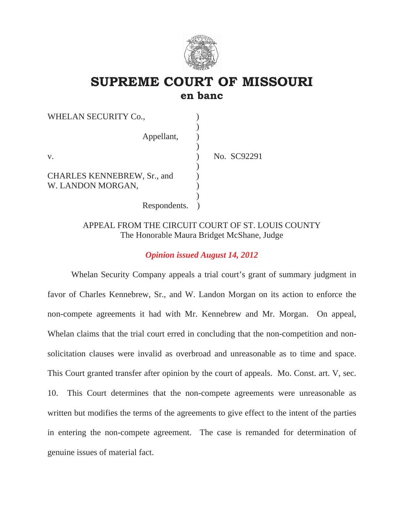

# **SUPREME COURT OF MISSOURI en banc**

| WHELAN SECURITY Co.,               |             |
|------------------------------------|-------------|
| Appellant,                         |             |
|                                    |             |
| $V_{\cdot}$                        | No. SC92291 |
| <b>CHARLES KENNEBREW, Sr., and</b> |             |
| W. LANDON MORGAN,                  |             |
| Respondents.                       |             |

# APPEAL FROM THE CIRCUIT COURT OF ST. LOUIS COUNTY The Honorable Maura Bridget McShane, Judge

# *Opinion issued August 14, 2012*

 Whelan Security Company appeals a trial court's grant of summary judgment in favor of Charles Kennebrew, Sr., and W. Landon Morgan on its action to enforce the non-compete agreements it had with Mr. Kennebrew and Mr. Morgan. On appeal, Whelan claims that the trial court erred in concluding that the non-competition and nonsolicitation clauses were invalid as overbroad and unreasonable as to time and space. This Court granted transfer after opinion by the court of appeals. Mo. Const. art. V, sec. 10. This Court determines that the non-compete agreements were unreasonable as written but modifies the terms of the agreements to give effect to the intent of the parties in entering the non-compete agreement. The case is remanded for determination of genuine issues of material fact.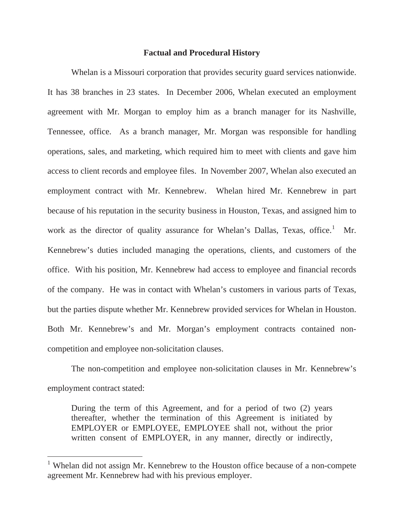#### **Factual and Procedural History**

 Whelan is a Missouri corporation that provides security guard services nationwide. It has 38 branches in 23 states. In December 2006, Whelan executed an employment agreement with Mr. Morgan to employ him as a branch manager for its Nashville, Tennessee, office. As a branch manager, Mr. Morgan was responsible for handling operations, sales, and marketing, which required him to meet with clients and gave him access to client records and employee files. In November 2007, Whelan also executed an employment contract with Mr. Kennebrew. Whelan hired Mr. Kennebrew in part because of his reputation in the security business in Houston, Texas, and assigned him to work as the director of quality assurance for Whelan's Dallas, Texas, office.<sup>1</sup> Mr. Kennebrew's duties included managing the operations, clients, and customers of the office. With his position, Mr. Kennebrew had access to employee and financial records of the company. He was in contact with Whelan's customers in various parts of Texas, but the parties dispute whether Mr. Kennebrew provided services for Whelan in Houston. Both Mr. Kennebrew's and Mr. Morgan's employment contracts contained noncompetition and employee non-solicitation clauses.

 The non-competition and employee non-solicitation clauses in Mr. Kennebrew's employment contract stated:

During the term of this Agreement, and for a period of two (2) years thereafter, whether the termination of this Agreement is initiated by EMPLOYER or EMPLOYEE, EMPLOYEE shall not, without the prior written consent of EMPLOYER, in any manner, directly or indirectly,

<sup>&</sup>lt;sup>1</sup> Whelan did not assign Mr. Kennebrew to the Houston office because of a non-compete agreement Mr. Kennebrew had with his previous employer.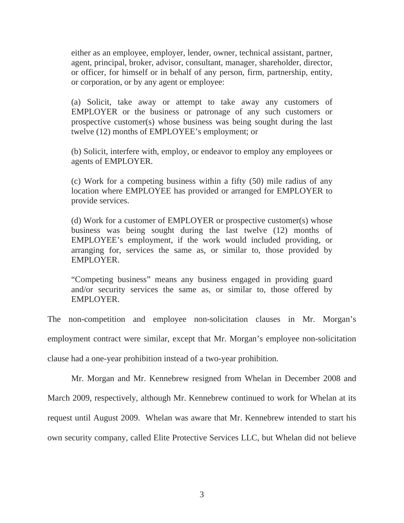either as an employee, employer, lender, owner, technical assistant, partner, agent, principal, broker, advisor, consultant, manager, shareholder, director, or officer, for himself or in behalf of any person, firm, partnership, entity, or corporation, or by any agent or employee:

(a) Solicit, take away or attempt to take away any customers of EMPLOYER or the business or patronage of any such customers or prospective customer(s) whose business was being sought during the last twelve (12) months of EMPLOYEE's employment; or

(b) Solicit, interfere with, employ, or endeavor to employ any employees or agents of EMPLOYER.

(c) Work for a competing business within a fifty (50) mile radius of any location where EMPLOYEE has provided or arranged for EMPLOYER to provide services.

(d) Work for a customer of EMPLOYER or prospective customer(s) whose business was being sought during the last twelve (12) months of EMPLOYEE's employment, if the work would included providing, or arranging for, services the same as, or similar to, those provided by EMPLOYER.

"Competing business" means any business engaged in providing guard and/or security services the same as, or similar to, those offered by EMPLOYER.

The non-competition and employee non-solicitation clauses in Mr. Morgan's employment contract were similar, except that Mr. Morgan's employee non-solicitation clause had a one-year prohibition instead of a two-year prohibition.

 Mr. Morgan and Mr. Kennebrew resigned from Whelan in December 2008 and March 2009, respectively, although Mr. Kennebrew continued to work for Whelan at its request until August 2009. Whelan was aware that Mr. Kennebrew intended to start his own security company, called Elite Protective Services LLC, but Whelan did not believe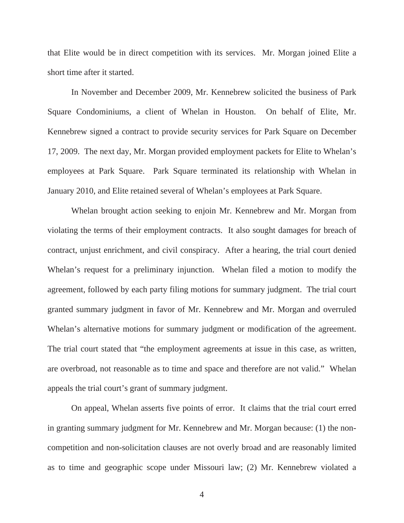that Elite would be in direct competition with its services. Mr. Morgan joined Elite a short time after it started.

In November and December 2009, Mr. Kennebrew solicited the business of Park Square Condominiums, a client of Whelan in Houston. On behalf of Elite, Mr. Kennebrew signed a contract to provide security services for Park Square on December 17, 2009. The next day, Mr. Morgan provided employment packets for Elite to Whelan's employees at Park Square. Park Square terminated its relationship with Whelan in January 2010, and Elite retained several of Whelan's employees at Park Square.

 Whelan brought action seeking to enjoin Mr. Kennebrew and Mr. Morgan from violating the terms of their employment contracts. It also sought damages for breach of contract, unjust enrichment, and civil conspiracy. After a hearing, the trial court denied Whelan's request for a preliminary injunction. Whelan filed a motion to modify the agreement, followed by each party filing motions for summary judgment. The trial court granted summary judgment in favor of Mr. Kennebrew and Mr. Morgan and overruled Whelan's alternative motions for summary judgment or modification of the agreement. The trial court stated that "the employment agreements at issue in this case, as written, are overbroad, not reasonable as to time and space and therefore are not valid." Whelan appeals the trial court's grant of summary judgment.

 On appeal, Whelan asserts five points of error. It claims that the trial court erred in granting summary judgment for Mr. Kennebrew and Mr. Morgan because: (1) the noncompetition and non-solicitation clauses are not overly broad and are reasonably limited as to time and geographic scope under Missouri law; (2) Mr. Kennebrew violated a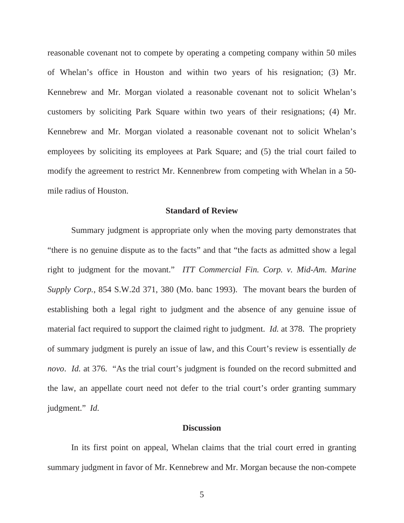reasonable covenant not to compete by operating a competing company within 50 miles of Whelan's office in Houston and within two years of his resignation; (3) Mr. Kennebrew and Mr. Morgan violated a reasonable covenant not to solicit Whelan's customers by soliciting Park Square within two years of their resignations; (4) Mr. Kennebrew and Mr. Morgan violated a reasonable covenant not to solicit Whelan's employees by soliciting its employees at Park Square; and (5) the trial court failed to modify the agreement to restrict Mr. Kennenbrew from competing with Whelan in a 50 mile radius of Houston.

#### **Standard of Review**

 Summary judgment is appropriate only when the moving party demonstrates that "there is no genuine dispute as to the facts" and that "the facts as admitted show a legal right to judgment for the movant." *ITT Commercial Fin. Corp. v. Mid-Am. Marine Supply Corp.*, 854 S.W.2d 371, 380 (Mo. banc 1993). The movant bears the burden of establishing both a legal right to judgment and the absence of any genuine issue of material fact required to support the claimed right to judgment. *Id.* at 378. The propriety of summary judgment is purely an issue of law, and this Court's review is essentially *de novo*. *Id.* at 376. "As the trial court's judgment is founded on the record submitted and the law, an appellate court need not defer to the trial court's order granting summary judgment." *Id.*

#### **Discussion**

 In its first point on appeal, Whelan claims that the trial court erred in granting summary judgment in favor of Mr. Kennebrew and Mr. Morgan because the non-compete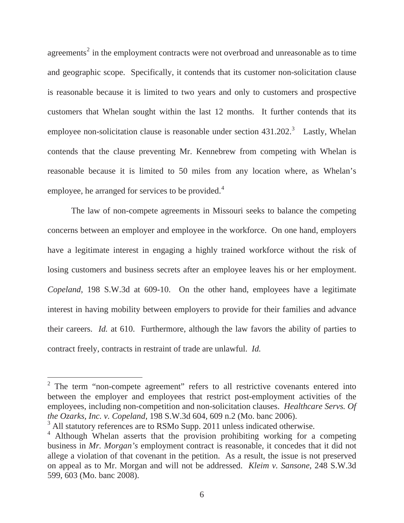agreements<sup>2</sup> in the employment contracts were not overbroad and unreasonable as to time and geographic scope. Specifically, it contends that its customer non-solicitation clause is reasonable because it is limited to two years and only to customers and prospective customers that Whelan sought within the last 12 months. It further contends that its employee non-solicitation clause is reasonable under section  $431.202$ <sup>3</sup> Lastly, Whelan contends that the clause preventing Mr. Kennebrew from competing with Whelan is reasonable because it is limited to 50 miles from any location where, as Whelan's employee, he arranged for services to be provided.<sup>4</sup>

 The law of non-compete agreements in Missouri seeks to balance the competing concerns between an employer and employee in the workforce. On one hand, employers have a legitimate interest in engaging a highly trained workforce without the risk of losing customers and business secrets after an employee leaves his or her employment. *Copeland*, 198 S.W.3d at 609-10. On the other hand, employees have a legitimate interest in having mobility between employers to provide for their families and advance their careers. *Id.* at 610. Furthermore, although the law favors the ability of parties to contract freely, contracts in restraint of trade are unlawful. *Id.*

 $2$  The term "non-compete agreement" refers to all restrictive covenants entered into between the employer and employees that restrict post-employment activities of the employees, including non-competition and non-solicitation clauses. *Healthcare Servs. Of the Ozarks, Inc. v. Copeland*, 198 S.W.3d 604, 609 n.2 (Mo. banc 2006).

<sup>&</sup>lt;sup>3</sup> All statutory references are to RSMo Supp. 2011 unless indicated otherwise.

<sup>&</sup>lt;sup>4</sup> Although Whelan asserts that the provision prohibiting working for a competing business in *Mr. Morgan's* employment contract is reasonable, it concedes that it did not allege a violation of that covenant in the petition. As a result, the issue is not preserved on appeal as to Mr. Morgan and will not be addressed. *Kleim v. Sansone*, 248 S.W.3d 599, 603 (Mo. banc 2008).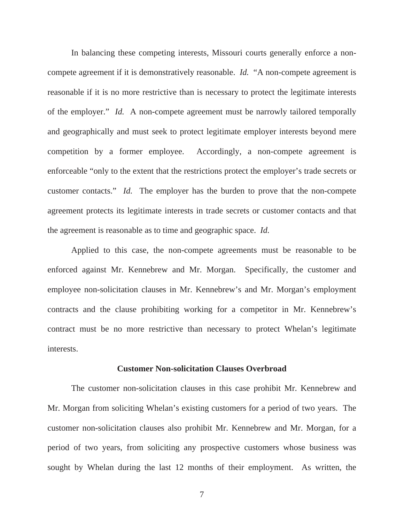In balancing these competing interests, Missouri courts generally enforce a noncompete agreement if it is demonstratively reasonable. *Id.* "A non-compete agreement is reasonable if it is no more restrictive than is necessary to protect the legitimate interests of the employer." *Id.* A non-compete agreement must be narrowly tailored temporally and geographically and must seek to protect legitimate employer interests beyond mere competition by a former employee. Accordingly, a non-compete agreement is enforceable "only to the extent that the restrictions protect the employer's trade secrets or customer contacts." *Id.* The employer has the burden to prove that the non-compete agreement protects its legitimate interests in trade secrets or customer contacts and that the agreement is reasonable as to time and geographic space. *Id.*

 Applied to this case, the non-compete agreements must be reasonable to be enforced against Mr. Kennebrew and Mr. Morgan. Specifically, the customer and employee non-solicitation clauses in Mr. Kennebrew's and Mr. Morgan's employment contracts and the clause prohibiting working for a competitor in Mr. Kennebrew's contract must be no more restrictive than necessary to protect Whelan's legitimate interests.

#### **Customer Non-solicitation Clauses Overbroad**

The customer non-solicitation clauses in this case prohibit Mr. Kennebrew and Mr. Morgan from soliciting Whelan's existing customers for a period of two years. The customer non-solicitation clauses also prohibit Mr. Kennebrew and Mr. Morgan, for a period of two years, from soliciting any prospective customers whose business was sought by Whelan during the last 12 months of their employment. As written, the

7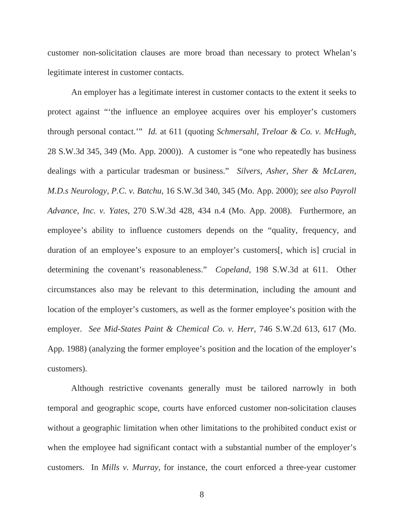customer non-solicitation clauses are more broad than necessary to protect Whelan's legitimate interest in customer contacts.

 An employer has a legitimate interest in customer contacts to the extent it seeks to protect against "'the influence an employee acquires over his employer's customers through personal contact.'" *Id.* at 611 (quoting *Schmersahl, Treloar & Co. v. McHugh*, 28 S.W.3d 345, 349 (Mo. App. 2000)). A customer is "one who repeatedly has business dealings with a particular tradesman or business." *Silvers, Asher, Sher & McLaren, M.D.s Neurology, P.C. v. Batchu*, 16 S.W.3d 340, 345 (Mo. App. 2000); *see also Payroll Advance, Inc. v. Yates*, 270 S.W.3d 428, 434 n.4 (Mo. App. 2008). Furthermore, an employee's ability to influence customers depends on the "quality, frequency, and duration of an employee's exposure to an employer's customers[, which is] crucial in determining the covenant's reasonableness." *Copeland*, 198 S.W.3d at 611. Other circumstances also may be relevant to this determination, including the amount and location of the employer's customers, as well as the former employee's position with the employer. *See Mid-States Paint & Chemical Co. v. Herr*, 746 S.W.2d 613, 617 (Mo. App. 1988) (analyzing the former employee's position and the location of the employer's customers).

 Although restrictive covenants generally must be tailored narrowly in both temporal and geographic scope, courts have enforced customer non-solicitation clauses without a geographic limitation when other limitations to the prohibited conduct exist or when the employee had significant contact with a substantial number of the employer's customers. In *Mills v. Murray*, for instance, the court enforced a three-year customer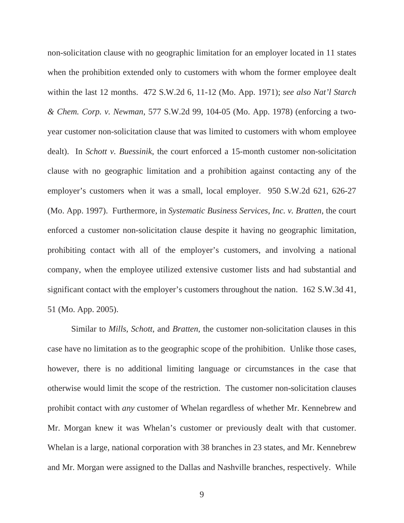non-solicitation clause with no geographic limitation for an employer located in 11 states when the prohibition extended only to customers with whom the former employee dealt within the last 12 months. 472 S.W.2d 6, 11-12 (Mo. App. 1971); *see also Nat'l Starch & Chem. Corp. v. Newman*, 577 S.W.2d 99, 104-05 (Mo. App. 1978) (enforcing a twoyear customer non-solicitation clause that was limited to customers with whom employee dealt). In *Schott v. Buessinik*, the court enforced a 15-month customer non-solicitation clause with no geographic limitation and a prohibition against contacting any of the employer's customers when it was a small, local employer. 950 S.W.2d 621, 626-27 (Mo. App. 1997). Furthermore, in *Systematic Business Services, Inc. v. Bratten*, the court enforced a customer non-solicitation clause despite it having no geographic limitation, prohibiting contact with all of the employer's customers, and involving a national company, when the employee utilized extensive customer lists and had substantial and significant contact with the employer's customers throughout the nation. 162 S.W.3d 41, 51 (Mo. App. 2005).

 Similar to *Mills*, *Schott*, and *Bratten*, the customer non-solicitation clauses in this case have no limitation as to the geographic scope of the prohibition. Unlike those cases, however, there is no additional limiting language or circumstances in the case that otherwise would limit the scope of the restriction. The customer non-solicitation clauses prohibit contact with *any* customer of Whelan regardless of whether Mr. Kennebrew and Mr. Morgan knew it was Whelan's customer or previously dealt with that customer. Whelan is a large, national corporation with 38 branches in 23 states, and Mr. Kennebrew and Mr. Morgan were assigned to the Dallas and Nashville branches, respectively. While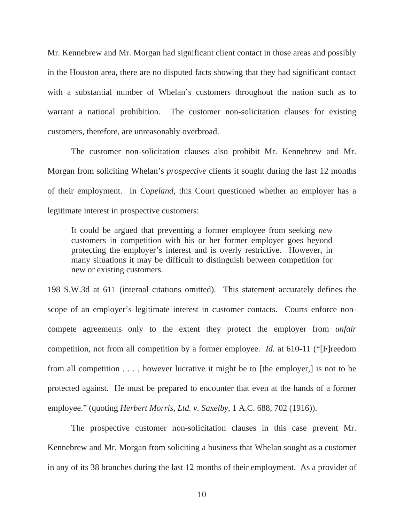Mr. Kennebrew and Mr. Morgan had significant client contact in those areas and possibly in the Houston area, there are no disputed facts showing that they had significant contact with a substantial number of Whelan's customers throughout the nation such as to warrant a national prohibition. The customer non-solicitation clauses for existing customers, therefore, are unreasonably overbroad.

 The customer non-solicitation clauses also prohibit Mr. Kennebrew and Mr. Morgan from soliciting Whelan's *prospective* clients it sought during the last 12 months of their employment. In *Copeland*, this Court questioned whether an employer has a legitimate interest in prospective customers:

It could be argued that preventing a former employee from seeking *new* customers in competition with his or her former employer goes beyond protecting the employer's interest and is overly restrictive. However, in many situations it may be difficult to distinguish between competition for new or existing customers.

198 S.W.3d at 611 (internal citations omitted). This statement accurately defines the scope of an employer's legitimate interest in customer contacts. Courts enforce noncompete agreements only to the extent they protect the employer from *unfair* competition, not from all competition by a former employee. *Id.* at 610-11 ("[F]reedom from all competition . . . , however lucrative it might be to [the employer,] is not to be protected against. He must be prepared to encounter that even at the hands of a former employee." (quoting *Herbert Morris, Ltd. v. Saxelby*, 1 A.C. 688, 702 (1916)).

 The prospective customer non-solicitation clauses in this case prevent Mr. Kennebrew and Mr. Morgan from soliciting a business that Whelan sought as a customer in any of its 38 branches during the last 12 months of their employment. As a provider of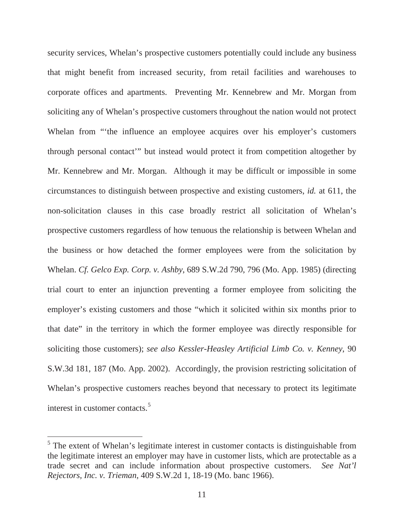security services, Whelan's prospective customers potentially could include any business that might benefit from increased security, from retail facilities and warehouses to corporate offices and apartments. Preventing Mr. Kennebrew and Mr. Morgan from soliciting any of Whelan's prospective customers throughout the nation would not protect Whelan from "the influence an employee acquires over his employer's customers through personal contact'" but instead would protect it from competition altogether by Mr. Kennebrew and Mr. Morgan. Although it may be difficult or impossible in some circumstances to distinguish between prospective and existing customers, *id.* at 611, the non-solicitation clauses in this case broadly restrict all solicitation of Whelan's prospective customers regardless of how tenuous the relationship is between Whelan and the business or how detached the former employees were from the solicitation by Whelan. *Cf. Gelco Exp. Corp. v. Ashby*, 689 S.W.2d 790, 796 (Mo. App. 1985) (directing trial court to enter an injunction preventing a former employee from soliciting the employer's existing customers and those "which it solicited within six months prior to that date" in the territory in which the former employee was directly responsible for soliciting those customers); *see also Kessler-Heasley Artificial Limb Co. v. Kenney*, 90 S.W.3d 181, 187 (Mo. App. 2002). Accordingly, the provision restricting solicitation of Whelan's prospective customers reaches beyond that necessary to protect its legitimate interest in customer contacts.<sup>5</sup>

 $<sup>5</sup>$  The extent of Whelan's legitimate interest in customer contacts is distinguishable from</sup> the legitimate interest an employer may have in customer lists, which are protectable as a trade secret and can include information about prospective customers. *See Nat'l Rejectors, Inc. v. Trieman*, 409 S.W.2d 1, 18-19 (Mo. banc 1966).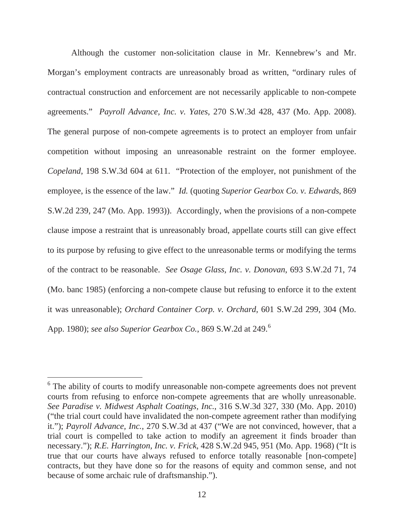Although the customer non-solicitation clause in Mr. Kennebrew's and Mr. Morgan's employment contracts are unreasonably broad as written, "ordinary rules of contractual construction and enforcement are not necessarily applicable to non-compete agreements." *Payroll Advance, Inc. v. Yates*, 270 S.W.3d 428, 437 (Mo. App. 2008). The general purpose of non-compete agreements is to protect an employer from unfair competition without imposing an unreasonable restraint on the former employee. *Copeland*, 198 S.W.3d 604 at 611. "Protection of the employer, not punishment of the employee, is the essence of the law." *Id.* (quoting *Superior Gearbox Co. v. Edwards*, 869 S.W.2d 239, 247 (Mo. App. 1993)). Accordingly, when the provisions of a non-compete clause impose a restraint that is unreasonably broad, appellate courts still can give effect to its purpose by refusing to give effect to the unreasonable terms or modifying the terms of the contract to be reasonable. *See Osage Glass, Inc. v. Donovan*, 693 S.W.2d 71, 74 (Mo. banc 1985) (enforcing a non-compete clause but refusing to enforce it to the extent it was unreasonable); *Orchard Container Corp. v. Orchard*, 601 S.W.2d 299, 304 (Mo. App. 1980); *see also Superior Gearbox Co.*, 869 S.W.2d at 249.<sup>6</sup>

<sup>&</sup>lt;sup>6</sup> The ability of courts to modify unreasonable non-compete agreements does not prevent courts from refusing to enforce non-compete agreements that are wholly unreasonable. *See Paradise v. Midwest Asphalt Coatings, Inc.*, 316 S.W.3d 327, 330 (Mo. App. 2010) ("the trial court could have invalidated the non-compete agreement rather than modifying it."); *Payroll Advance, Inc.*, 270 S.W.3d at 437 ("We are not convinced, however, that a trial court is compelled to take action to modify an agreement it finds broader than necessary."); *R.E. Harrington, Inc. v. Frick*, 428 S.W.2d 945, 951 (Mo. App. 1968) ("It is true that our courts have always refused to enforce totally reasonable [non-compete] contracts, but they have done so for the reasons of equity and common sense, and not because of some archaic rule of draftsmanship.").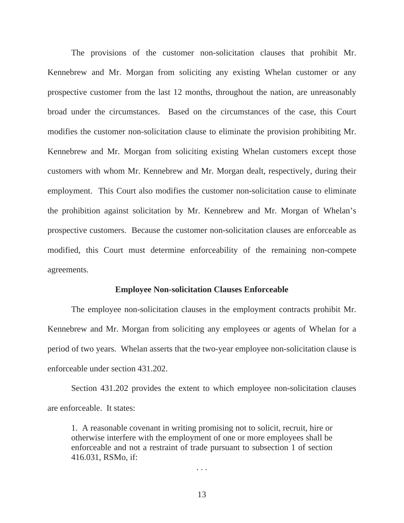The provisions of the customer non-solicitation clauses that prohibit Mr. Kennebrew and Mr. Morgan from soliciting any existing Whelan customer or any prospective customer from the last 12 months, throughout the nation, are unreasonably broad under the circumstances. Based on the circumstances of the case, this Court modifies the customer non-solicitation clause to eliminate the provision prohibiting Mr. Kennebrew and Mr. Morgan from soliciting existing Whelan customers except those customers with whom Mr. Kennebrew and Mr. Morgan dealt, respectively, during their employment. This Court also modifies the customer non-solicitation cause to eliminate the prohibition against solicitation by Mr. Kennebrew and Mr. Morgan of Whelan's prospective customers. Because the customer non-solicitation clauses are enforceable as modified, this Court must determine enforceability of the remaining non-compete agreements.

#### **Employee Non-solicitation Clauses Enforceable**

 The employee non-solicitation clauses in the employment contracts prohibit Mr. Kennebrew and Mr. Morgan from soliciting any employees or agents of Whelan for a period of two years. Whelan asserts that the two-year employee non-solicitation clause is enforceable under section 431.202.

 Section 431.202 provides the extent to which employee non-solicitation clauses are enforceable. It states:

1. A reasonable covenant in writing promising not to solicit, recruit, hire or otherwise interfere with the employment of one or more employees shall be enforceable and not a restraint of trade pursuant to subsection 1 of section 416.031, RSMo, if:

. . .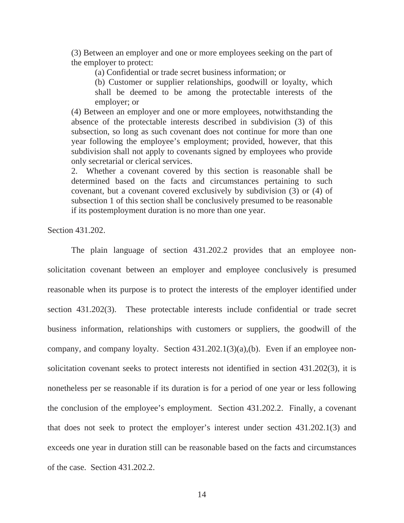(3) Between an employer and one or more employees seeking on the part of the employer to protect:

(a) Confidential or trade secret business information; or

(b) Customer or supplier relationships, goodwill or loyalty, which shall be deemed to be among the protectable interests of the employer; or

(4) Between an employer and one or more employees, notwithstanding the absence of the protectable interests described in subdivision (3) of this subsection, so long as such covenant does not continue for more than one year following the employee's employment; provided, however, that this subdivision shall not apply to covenants signed by employees who provide only secretarial or clerical services.

2. Whether a covenant covered by this section is reasonable shall be determined based on the facts and circumstances pertaining to such covenant, but a covenant covered exclusively by subdivision (3) or (4) of subsection 1 of this section shall be conclusively presumed to be reasonable if its postemployment duration is no more than one year.

Section 431.202.

The plain language of section 431.202.2 provides that an employee nonsolicitation covenant between an employer and employee conclusively is presumed reasonable when its purpose is to protect the interests of the employer identified under section 431.202(3). These protectable interests include confidential or trade secret business information, relationships with customers or suppliers, the goodwill of the company, and company loyalty. Section 431.202.1(3)(a),(b). Even if an employee nonsolicitation covenant seeks to protect interests not identified in section 431.202(3), it is nonetheless per se reasonable if its duration is for a period of one year or less following the conclusion of the employee's employment. Section 431.202.2. Finally, a covenant that does not seek to protect the employer's interest under section 431.202.1(3) and exceeds one year in duration still can be reasonable based on the facts and circumstances of the case. Section 431.202.2.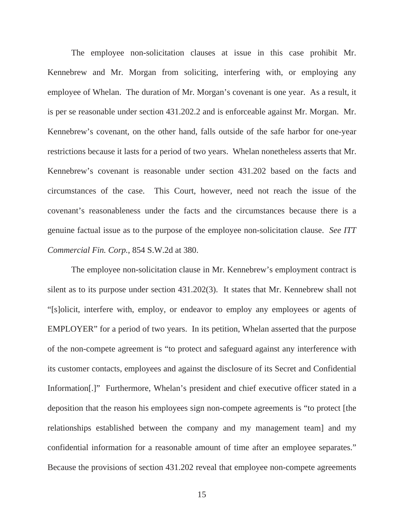The employee non-solicitation clauses at issue in this case prohibit Mr. Kennebrew and Mr. Morgan from soliciting, interfering with, or employing any employee of Whelan. The duration of Mr. Morgan's covenant is one year. As a result, it is per se reasonable under section 431.202.2 and is enforceable against Mr. Morgan. Mr. Kennebrew's covenant, on the other hand, falls outside of the safe harbor for one-year restrictions because it lasts for a period of two years. Whelan nonetheless asserts that Mr. Kennebrew's covenant is reasonable under section 431.202 based on the facts and circumstances of the case. This Court, however, need not reach the issue of the covenant's reasonableness under the facts and the circumstances because there is a genuine factual issue as to the purpose of the employee non-solicitation clause. *See ITT Commercial Fin. Corp.*, 854 S.W.2d at 380.

 The employee non-solicitation clause in Mr. Kennebrew's employment contract is silent as to its purpose under section 431.202(3). It states that Mr. Kennebrew shall not "[s]olicit, interfere with, employ, or endeavor to employ any employees or agents of EMPLOYER" for a period of two years. In its petition, Whelan asserted that the purpose of the non-compete agreement is "to protect and safeguard against any interference with its customer contacts, employees and against the disclosure of its Secret and Confidential Information[.]" Furthermore, Whelan's president and chief executive officer stated in a deposition that the reason his employees sign non-compete agreements is "to protect [the relationships established between the company and my management team] and my confidential information for a reasonable amount of time after an employee separates." Because the provisions of section 431.202 reveal that employee non-compete agreements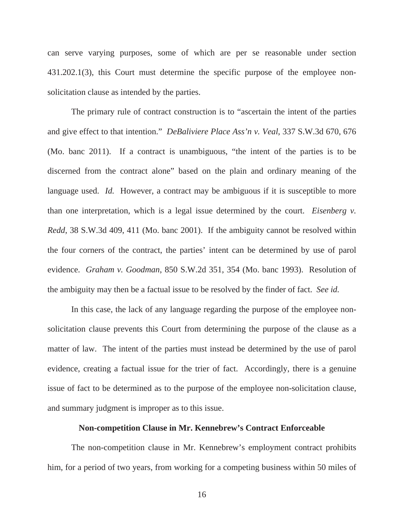can serve varying purposes, some of which are per se reasonable under section 431.202.1(3), this Court must determine the specific purpose of the employee nonsolicitation clause as intended by the parties.

 The primary rule of contract construction is to "ascertain the intent of the parties and give effect to that intention." *DeBaliviere Place Ass'n v. Veal*, 337 S.W.3d 670, 676 (Mo. banc 2011). If a contract is unambiguous, "the intent of the parties is to be discerned from the contract alone" based on the plain and ordinary meaning of the language used. *Id.* However, a contract may be ambiguous if it is susceptible to more than one interpretation, which is a legal issue determined by the court. *Eisenberg v. Redd*, 38 S.W.3d 409, 411 (Mo. banc 2001). If the ambiguity cannot be resolved within the four corners of the contract, the parties' intent can be determined by use of parol evidence. *Graham v. Goodman*, 850 S.W.2d 351, 354 (Mo. banc 1993). Resolution of the ambiguity may then be a factual issue to be resolved by the finder of fact. *See id.*

 In this case, the lack of any language regarding the purpose of the employee nonsolicitation clause prevents this Court from determining the purpose of the clause as a matter of law. The intent of the parties must instead be determined by the use of parol evidence, creating a factual issue for the trier of fact. Accordingly, there is a genuine issue of fact to be determined as to the purpose of the employee non-solicitation clause, and summary judgment is improper as to this issue.

### **Non-competition Clause in Mr. Kennebrew's Contract Enforceable**

The non-competition clause in Mr. Kennebrew's employment contract prohibits him, for a period of two years, from working for a competing business within 50 miles of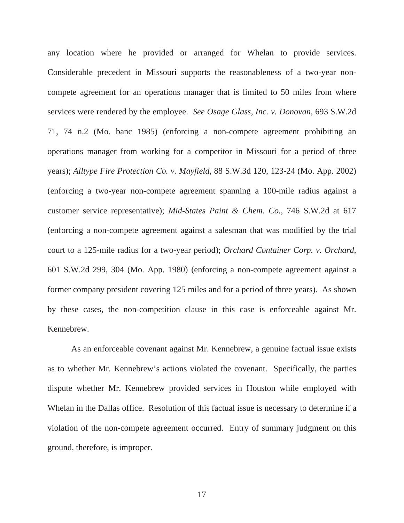any location where he provided or arranged for Whelan to provide services. Considerable precedent in Missouri supports the reasonableness of a two-year noncompete agreement for an operations manager that is limited to 50 miles from where services were rendered by the employee. *See Osage Glass, Inc. v. Donovan*, 693 S.W.2d 71, 74 n.2 (Mo. banc 1985) (enforcing a non-compete agreement prohibiting an operations manager from working for a competitor in Missouri for a period of three years); *Alltype Fire Protection Co. v. Mayfield*, 88 S.W.3d 120, 123-24 (Mo. App. 2002) (enforcing a two-year non-compete agreement spanning a 100-mile radius against a customer service representative); *Mid-States Paint & Chem. Co.*, 746 S.W.2d at 617 (enforcing a non-compete agreement against a salesman that was modified by the trial court to a 125-mile radius for a two-year period); *Orchard Container Corp. v. Orchard*, 601 S.W.2d 299, 304 (Mo. App. 1980) (enforcing a non-compete agreement against a former company president covering 125 miles and for a period of three years). As shown by these cases, the non-competition clause in this case is enforceable against Mr. Kennebrew.

 As an enforceable covenant against Mr. Kennebrew, a genuine factual issue exists as to whether Mr. Kennebrew's actions violated the covenant. Specifically, the parties dispute whether Mr. Kennebrew provided services in Houston while employed with Whelan in the Dallas office. Resolution of this factual issue is necessary to determine if a violation of the non-compete agreement occurred. Entry of summary judgment on this ground, therefore, is improper.